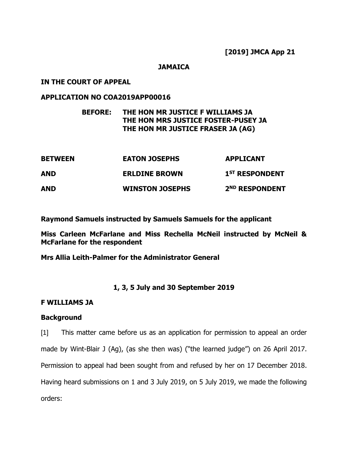### **JAMAICA**

### **IN THE COURT OF APPEAL**

### **APPLICATION NO COA2019APP00016**

### **BEFORE: THE HON MR JUSTICE F WILLIAMS JA THE HON MRS JUSTICE FOSTER-PUSEY JA THE HON MR JUSTICE FRASER JA (AG)**

| <b>BETWEEN</b> | <b>EATON JOSEPHS</b>   | <b>APPLICANT</b>           |
|----------------|------------------------|----------------------------|
| AND            | <b>ERLDINE BROWN</b>   | 1 <sup>ST</sup> RESPONDENT |
| AND            | <b>WINSTON JOSEPHS</b> | 2 <sup>ND</sup> RESPONDENT |

**Raymond Samuels instructed by Samuels Samuels for the applicant**

**Miss Carleen McFarlane and Miss Rechella McNeil instructed by McNeil & McFarlane for the respondent**

**Mrs Allia Leith-Palmer for the Administrator General**

### **1, 3, 5 July and 30 September 2019**

#### **F WILLIAMS JA**

### **Background**

[1] This matter came before us as an application for permission to appeal an order made by Wint-Blair J (Ag), (as she then was) ("the learned judge") on 26 April 2017. Permission to appeal had been sought from and refused by her on 17 December 2018. Having heard submissions on 1 and 3 July 2019, on 5 July 2019, we made the following orders: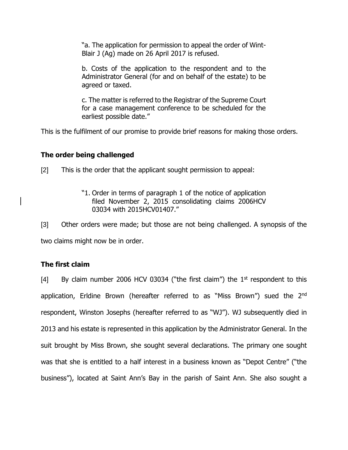"a. The application for permission to appeal the order of Wint-Blair J (Ag) made on 26 April 2017 is refused.

b. Costs of the application to the respondent and to the Administrator General (for and on behalf of the estate) to be agreed or taxed.

c. The matter is referred to the Registrar of the Supreme Court for a case management conference to be scheduled for the earliest possible date."

This is the fulfilment of our promise to provide brief reasons for making those orders.

# **The order being challenged**

[2] This is the order that the applicant sought permission to appeal:

"1. Order in terms of paragraph 1 of the notice of application filed November 2, 2015 consolidating claims 2006HCV 03034 with 2015HCV01407."

[3] Other orders were made; but those are not being challenged. A synopsis of the

two claims might now be in order.

# **The first claim**

[4] By claim number 2006 HCV 03034 ("the first claim") the  $1<sup>st</sup>$  respondent to this application, Erldine Brown (hereafter referred to as "Miss Brown") sued the 2<sup>nd</sup> respondent, Winston Josephs (hereafter referred to as "WJ"). WJ subsequently died in 2013 and his estate is represented in this application by the Administrator General. In the suit brought by Miss Brown, she sought several declarations. The primary one sought was that she is entitled to a half interest in a business known as "Depot Centre" ("the business"), located at Saint Ann's Bay in the parish of Saint Ann. She also sought a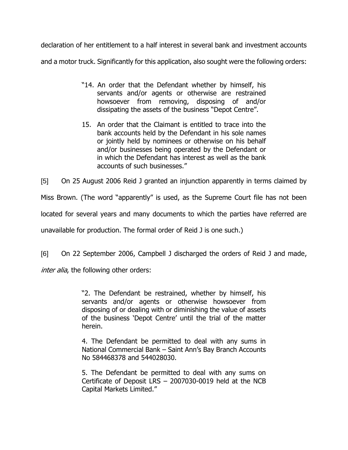declaration of her entitlement to a half interest in several bank and investment accounts and a motor truck. Significantly for this application, also sought were the following orders:

- "14. An order that the Defendant whether by himself, his servants and/or agents or otherwise are restrained howsoever from removing, disposing of and/or dissipating the assets of the business "Depot Centre".
- 15. An order that the Claimant is entitled to trace into the bank accounts held by the Defendant in his sole names or jointly held by nominees or otherwise on his behalf and/or businesses being operated by the Defendant or in which the Defendant has interest as well as the bank accounts of such businesses."

[5] On 25 August 2006 Reid J granted an injunction apparently in terms claimed by

Miss Brown. (The word "apparently" is used, as the Supreme Court file has not been

located for several years and many documents to which the parties have referred are

unavailable for production. The formal order of Reid J is one such.)

[6] On 22 September 2006, Campbell J discharged the orders of Reid J and made,

inter alia, the following other orders:

"2. The Defendant be restrained, whether by himself, his servants and/or agents or otherwise howsoever from disposing of or dealing with or diminishing the value of assets of the business 'Depot Centre' until the trial of the matter herein.

4. The Defendant be permitted to deal with any sums in National Commercial Bank – Saint Ann's Bay Branch Accounts No 584468378 and 544028030.

5. The Defendant be permitted to deal with any sums on Certificate of Deposit LRS – 2007030-0019 held at the NCB Capital Markets Limited."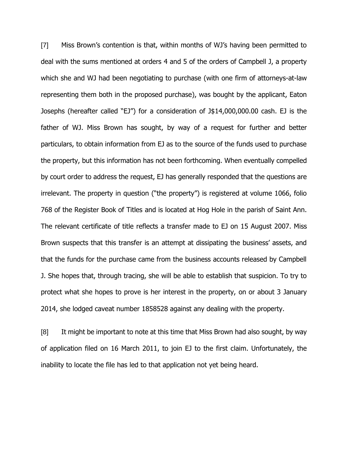[7] Miss Brown's contention is that, within months of WJ's having been permitted to deal with the sums mentioned at orders 4 and 5 of the orders of Campbell J, a property which she and WJ had been negotiating to purchase (with one firm of attorneys-at-law representing them both in the proposed purchase), was bought by the applicant, Eaton Josephs (hereafter called "EJ") for a consideration of J\$14,000,000.00 cash. EJ is the father of WJ. Miss Brown has sought, by way of a request for further and better particulars, to obtain information from EJ as to the source of the funds used to purchase the property, but this information has not been forthcoming. When eventually compelled by court order to address the request, EJ has generally responded that the questions are irrelevant. The property in question ("the property") is registered at volume 1066, folio 768 of the Register Book of Titles and is located at Hog Hole in the parish of Saint Ann. The relevant certificate of title reflects a transfer made to EJ on 15 August 2007. Miss Brown suspects that this transfer is an attempt at dissipating the business' assets, and that the funds for the purchase came from the business accounts released by Campbell J. She hopes that, through tracing, she will be able to establish that suspicion. To try to protect what she hopes to prove is her interest in the property, on or about 3 January 2014, she lodged caveat number 1858528 against any dealing with the property.

[8] It might be important to note at this time that Miss Brown had also sought, by way of application filed on 16 March 2011, to join EJ to the first claim. Unfortunately, the inability to locate the file has led to that application not yet being heard.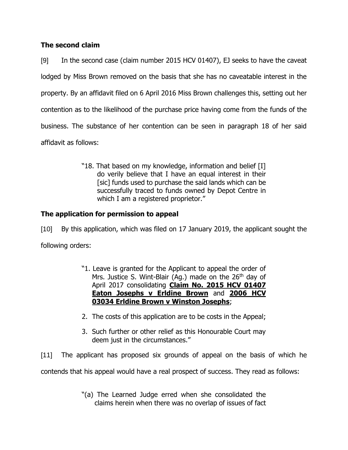# **The second claim**

[9] In the second case (claim number 2015 HCV 01407), EJ seeks to have the caveat lodged by Miss Brown removed on the basis that she has no caveatable interest in the property. By an affidavit filed on 6 April 2016 Miss Brown challenges this, setting out her contention as to the likelihood of the purchase price having come from the funds of the business. The substance of her contention can be seen in paragraph 18 of her said affidavit as follows:

> "18. That based on my knowledge, information and belief [I] do verily believe that I have an equal interest in their [sic] funds used to purchase the said lands which can be successfully traced to funds owned by Depot Centre in which I am a registered proprietor."

# **The application for permission to appeal**

[10] By this application, which was filed on 17 January 2019, the applicant sought the following orders:

- "1. Leave is granted for the Applicant to appeal the order of Mrs. Justice S. Wint-Blair (Ag.) made on the  $26<sup>th</sup>$  day of April 2017 consolidating **Claim No. 2015 HCV 01407 Eaton Josephs v Erldine Brown** and **2006 HCV 03034 Erldine Brown v Winston Josephs**;
- 2. The costs of this application are to be costs in the Appeal;
- 3. Such further or other relief as this Honourable Court may deem just in the circumstances."

[11] The applicant has proposed six grounds of appeal on the basis of which he contends that his appeal would have a real prospect of success. They read as follows:

> "(a) The Learned Judge erred when she consolidated the claims herein when there was no overlap of issues of fact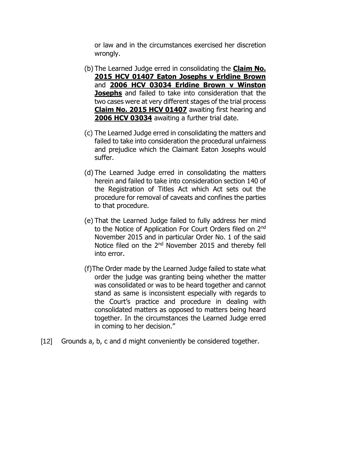or law and in the circumstances exercised her discretion wrongly.

- (b) The Learned Judge erred in consolidating the **Claim No. 2015 HCV 01407 Eaton Josephs v Erldine Brown** and **2006 HCV 03034 Erldine Brown v Winston Josephs** and failed to take into consideration that the two cases were at very different stages of the trial process **Claim No. 2015 HCV 01407** awaiting first hearing and **2006 HCV 03034** awaiting a further trial date.
- (c) The Learned Judge erred in consolidating the matters and failed to take into consideration the procedural unfairness and prejudice which the Claimant Eaton Josephs would suffer.
- (d) The Learned Judge erred in consolidating the matters herein and failed to take into consideration section 140 of the Registration of Titles Act which Act sets out the procedure for removal of caveats and confines the parties to that procedure.
- (e) That the Learned Judge failed to fully address her mind to the Notice of Application For Court Orders filed on 2nd November 2015 and in particular Order No. 1 of the said Notice filed on the 2nd November 2015 and thereby fell into error.
- (f)The Order made by the Learned Judge failed to state what order the judge was granting being whether the matter was consolidated or was to be heard together and cannot stand as same is inconsistent especially with regards to the Court's practice and procedure in dealing with consolidated matters as opposed to matters being heard together. In the circumstances the Learned Judge erred in coming to her decision."
- [12] Grounds a, b, c and d might conveniently be considered together.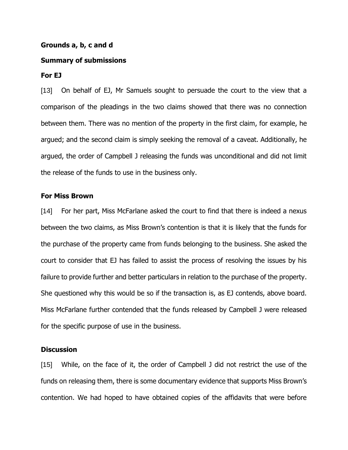#### **Grounds a, b, c and d**

#### **Summary of submissions**

#### **For EJ**

[13] On behalf of EJ, Mr Samuels sought to persuade the court to the view that a comparison of the pleadings in the two claims showed that there was no connection between them. There was no mention of the property in the first claim, for example, he argued; and the second claim is simply seeking the removal of a caveat. Additionally, he argued, the order of Campbell J releasing the funds was unconditional and did not limit the release of the funds to use in the business only.

#### **For Miss Brown**

[14] For her part, Miss McFarlane asked the court to find that there is indeed a nexus between the two claims, as Miss Brown's contention is that it is likely that the funds for the purchase of the property came from funds belonging to the business. She asked the court to consider that EJ has failed to assist the process of resolving the issues by his failure to provide further and better particulars in relation to the purchase of the property. She questioned why this would be so if the transaction is, as EJ contends, above board. Miss McFarlane further contended that the funds released by Campbell J were released for the specific purpose of use in the business.

### **Discussion**

[15] While, on the face of it, the order of Campbell J did not restrict the use of the funds on releasing them, there is some documentary evidence that supports Miss Brown's contention. We had hoped to have obtained copies of the affidavits that were before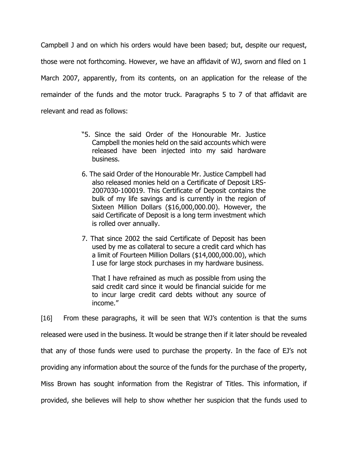Campbell J and on which his orders would have been based; but, despite our request, those were not forthcoming. However, we have an affidavit of WJ, sworn and filed on 1 March 2007, apparently, from its contents, on an application for the release of the remainder of the funds and the motor truck. Paragraphs 5 to 7 of that affidavit are relevant and read as follows:

- "5. Since the said Order of the Honourable Mr. Justice Campbell the monies held on the said accounts which were released have been injected into my said hardware business.
- 6. The said Order of the Honourable Mr. Justice Campbell had also released monies held on a Certificate of Deposit LRS-2007030-100019. This Certificate of Deposit contains the bulk of my life savings and is currently in the region of Sixteen Million Dollars (\$16,000,000.00). However, the said Certificate of Deposit is a long term investment which is rolled over annually.
- 7. That since 2002 the said Certificate of Deposit has been used by me as collateral to secure a credit card which has a limit of Fourteen Million Dollars (\$14,000,000.00), which I use for large stock purchases in my hardware business.

That I have refrained as much as possible from using the said credit card since it would be financial suicide for me to incur large credit card debts without any source of income."

[16] From these paragraphs, it will be seen that WJ's contention is that the sums released were used in the business. It would be strange then if it later should be revealed that any of those funds were used to purchase the property. In the face of EJ's not providing any information about the source of the funds for the purchase of the property, Miss Brown has sought information from the Registrar of Titles. This information, if provided, she believes will help to show whether her suspicion that the funds used to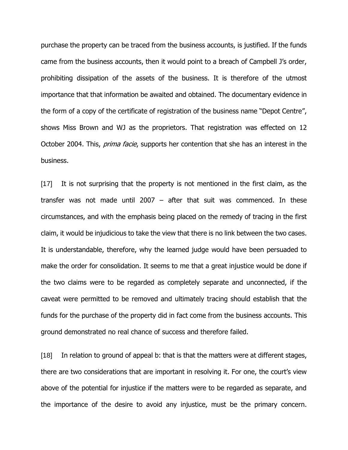purchase the property can be traced from the business accounts, is justified. If the funds came from the business accounts, then it would point to a breach of Campbell J's order, prohibiting dissipation of the assets of the business. It is therefore of the utmost importance that that information be awaited and obtained. The documentary evidence in the form of a copy of the certificate of registration of the business name "Depot Centre", shows Miss Brown and WJ as the proprietors. That registration was effected on 12 October 2004. This, *prima facie*, supports her contention that she has an interest in the business.

[17] It is not surprising that the property is not mentioned in the first claim, as the transfer was not made until 2007 – after that suit was commenced. In these circumstances, and with the emphasis being placed on the remedy of tracing in the first claim, it would be injudicious to take the view that there is no link between the two cases. It is understandable, therefore, why the learned judge would have been persuaded to make the order for consolidation. It seems to me that a great injustice would be done if the two claims were to be regarded as completely separate and unconnected, if the caveat were permitted to be removed and ultimately tracing should establish that the funds for the purchase of the property did in fact come from the business accounts. This ground demonstrated no real chance of success and therefore failed.

[18] In relation to ground of appeal b: that is that the matters were at different stages, there are two considerations that are important in resolving it. For one, the court's view above of the potential for injustice if the matters were to be regarded as separate, and the importance of the desire to avoid any injustice, must be the primary concern.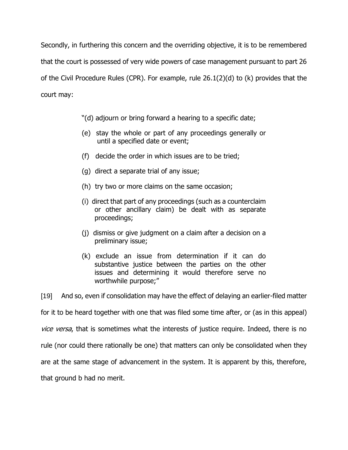Secondly, in furthering this concern and the overriding objective, it is to be remembered that the court is possessed of very wide powers of case management pursuant to part 26 of the Civil Procedure Rules (CPR). For example, rule 26.1(2)(d) to (k) provides that the court may:

"(d) adjourn or bring forward a hearing to a specific date;

- (e) stay the whole or part of any proceedings generally or until a specified date or event;
- (f) decide the order in which issues are to be tried;
- (g) direct a separate trial of any issue;
- (h) try two or more claims on the same occasion;
- (i) direct that part of any proceedings (such as a counterclaim or other ancillary claim) be dealt with as separate proceedings;
- (j) dismiss or give judgment on a claim after a decision on a preliminary issue;
- (k) exclude an issue from determination if it can do substantive justice between the parties on the other issues and determining it would therefore serve no worthwhile purpose;"

[19] And so, even if consolidation may have the effect of delaying an earlier-filed matter

for it to be heard together with one that was filed some time after, or (as in this appeal) vice versa, that is sometimes what the interests of justice require. Indeed, there is no rule (nor could there rationally be one) that matters can only be consolidated when they are at the same stage of advancement in the system. It is apparent by this, therefore, that ground b had no merit.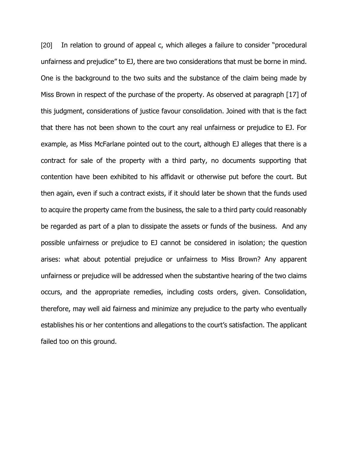[20] In relation to ground of appeal c, which alleges a failure to consider "procedural unfairness and prejudice" to EJ, there are two considerations that must be borne in mind. One is the background to the two suits and the substance of the claim being made by Miss Brown in respect of the purchase of the property. As observed at paragraph [17] of this judgment, considerations of justice favour consolidation. Joined with that is the fact that there has not been shown to the court any real unfairness or prejudice to EJ. For example, as Miss McFarlane pointed out to the court, although EJ alleges that there is a contract for sale of the property with a third party, no documents supporting that contention have been exhibited to his affidavit or otherwise put before the court. But then again, even if such a contract exists, if it should later be shown that the funds used to acquire the property came from the business, the sale to a third party could reasonably be regarded as part of a plan to dissipate the assets or funds of the business. And any possible unfairness or prejudice to EJ cannot be considered in isolation; the question arises: what about potential prejudice or unfairness to Miss Brown? Any apparent unfairness or prejudice will be addressed when the substantive hearing of the two claims occurs, and the appropriate remedies, including costs orders, given. Consolidation, therefore, may well aid fairness and minimize any prejudice to the party who eventually establishes his or her contentions and allegations to the court's satisfaction. The applicant failed too on this ground.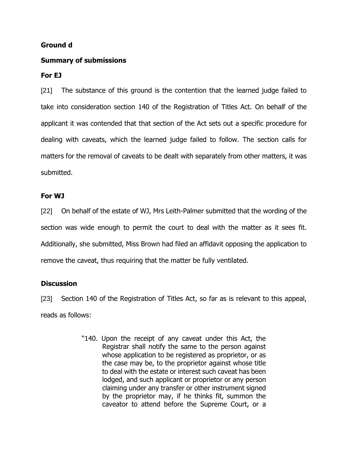### **Ground d**

### **Summary of submissions**

# **For EJ**

[21] The substance of this ground is the contention that the learned judge failed to take into consideration section 140 of the Registration of Titles Act. On behalf of the applicant it was contended that that section of the Act sets out a specific procedure for dealing with caveats, which the learned judge failed to follow. The section calls for matters for the removal of caveats to be dealt with separately from other matters, it was submitted.

### **For WJ**

[22] On behalf of the estate of WJ, Mrs Leith-Palmer submitted that the wording of the section was wide enough to permit the court to deal with the matter as it sees fit. Additionally, she submitted, Miss Brown had filed an affidavit opposing the application to remove the caveat, thus requiring that the matter be fully ventilated.

# **Discussion**

[23] Section 140 of the Registration of Titles Act, so far as is relevant to this appeal, reads as follows:

> "140. Upon the receipt of any caveat under this Act, the Registrar shall notify the same to the person against whose application to be registered as proprietor, or as the case may be, to the proprietor against whose title to deal with the estate or interest such caveat has been lodged, and such applicant or proprietor or any person claiming under any transfer or other instrument signed by the proprietor may, if he thinks fit, summon the caveator to attend before the Supreme Court, or a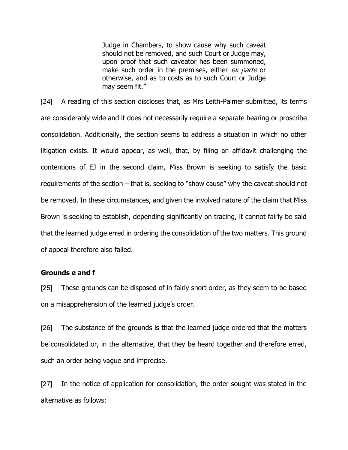Judge in Chambers, to show cause why such caveat should not be removed, and such Court or Judge may, upon proof that such caveator has been summoned, make such order in the premises, either ex parte or otherwise, and as to costs as to such Court or Judge may seem fit."

[24] A reading of this section discloses that, as Mrs Leith-Palmer submitted, its terms are considerably wide and it does not necessarily require a separate hearing or proscribe consolidation. Additionally, the section seems to address a situation in which no other litigation exists. It would appear, as well, that, by filing an affidavit challenging the contentions of EJ in the second claim, Miss Brown is seeking to satisfy the basic requirements of the section – that is, seeking to "show cause" why the caveat should not be removed. In these circumstances, and given the involved nature of the claim that Miss Brown is seeking to establish, depending significantly on tracing, it cannot fairly be said that the learned judge erred in ordering the consolidation of the two matters. This ground of appeal therefore also failed.

### **Grounds e and f**

[25] These grounds can be disposed of in fairly short order, as they seem to be based on a misapprehension of the learned judge's order.

[26] The substance of the grounds is that the learned judge ordered that the matters be consolidated or, in the alternative, that they be heard together and therefore erred, such an order being vague and imprecise.

[27] In the notice of application for consolidation, the order sought was stated in the alternative as follows: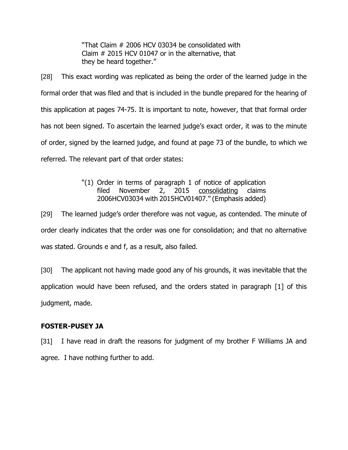"That Claim # 2006 HCV 03034 be consolidated with Claim # 2015 HCV 01047 or in the alternative, that they be heard together."

[28] This exact wording was replicated as being the order of the learned judge in the formal order that was filed and that is included in the bundle prepared for the hearing of this application at pages 74-75. It is important to note, however, that that formal order has not been signed. To ascertain the learned judge's exact order, it was to the minute of order, signed by the learned judge, and found at page 73 of the bundle, to which we referred. The relevant part of that order states:

# "(1) Order in terms of paragraph 1 of notice of application filed November 2, 2015 consolidating claims 2006HCV03034 with 2015HCV01407." (Emphasis added)

[29] The learned judge's order therefore was not vague, as contended. The minute of order clearly indicates that the order was one for consolidation; and that no alternative was stated. Grounds e and f, as a result, also failed.

[30] The applicant not having made good any of his grounds, it was inevitable that the application would have been refused, and the orders stated in paragraph [1] of this judgment, made.

# **FOSTER-PUSEY JA**

[31] I have read in draft the reasons for judgment of my brother F Williams JA and agree. I have nothing further to add.